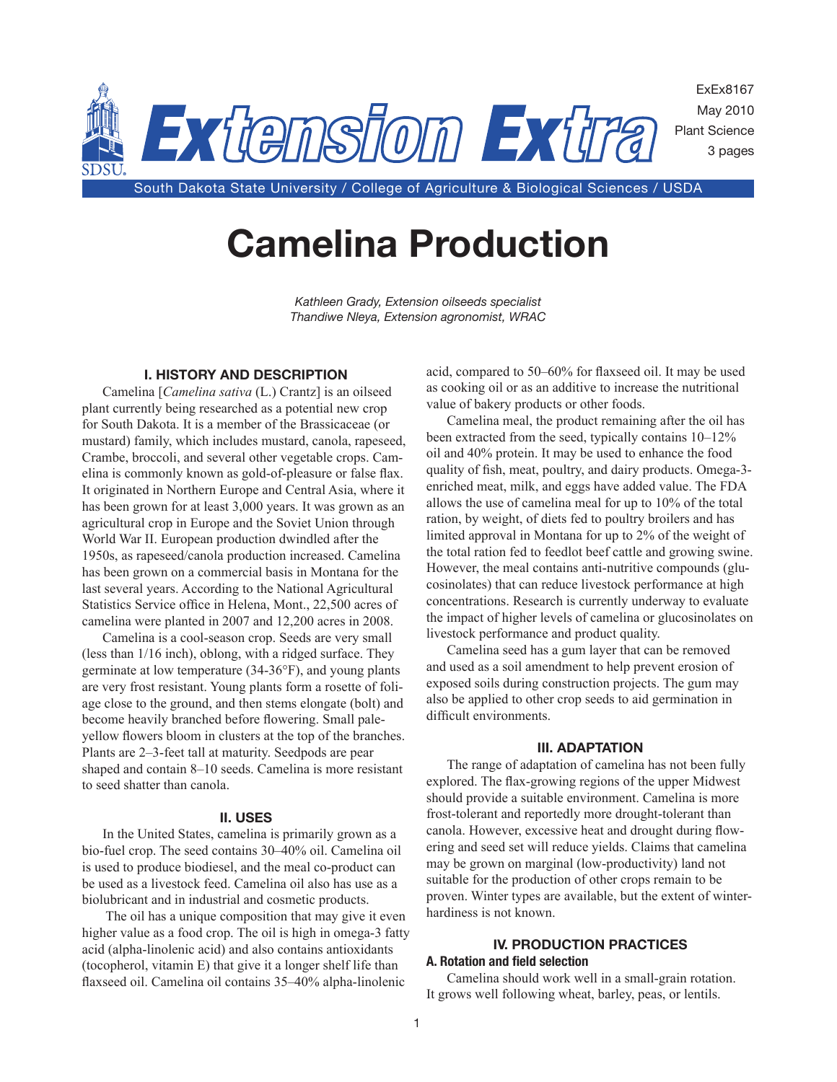

# **Camelina Production**

*Kathleen Grady, Extension oilseeds specialist Thandiwe Nleya, Extension agronomist, WRAC*

# **I. HISTORY AND DESCRIPTION**

Camelina [*Camelina sativa* (L.) Crantz] is an oilseed plant currently being researched as a potential new crop for South Dakota. It is a member of the Brassicaceae (or mustard) family, which includes mustard, canola, rapeseed, Crambe, broccoli, and several other vegetable crops. Camelina is commonly known as gold-of-pleasure or false flax. It originated in Northern Europe and Central Asia, where it has been grown for at least 3,000 years. It was grown as an agricultural crop in Europe and the Soviet Union through World War II. European production dwindled after the 1950s, as rapeseed/canola production increased. Camelina has been grown on a commercial basis in Montana for the last several years. According to the National Agricultural Statistics Service office in Helena, Mont., 22,500 acres of camelina were planted in 2007 and 12,200 acres in 2008.

Camelina is a cool-season crop. Seeds are very small (less than 1/16 inch), oblong, with a ridged surface. They germinate at low temperature (34-36°F), and young plants are very frost resistant. Young plants form a rosette of foliage close to the ground, and then stems elongate (bolt) and become heavily branched before flowering. Small paleyellow flowers bloom in clusters at the top of the branches. Plants are 2–3-feet tall at maturity. Seedpods are pear shaped and contain 8–10 seeds. Camelina is more resistant to seed shatter than canola.

#### **II. USES**

In the United States, camelina is primarily grown as a bio-fuel crop. The seed contains 30–40% oil. Camelina oil is used to produce biodiesel, and the meal co-product can be used as a livestock feed. Camelina oil also has use as a biolubricant and in industrial and cosmetic products.

 The oil has a unique composition that may give it even higher value as a food crop. The oil is high in omega-3 fatty acid (alpha-linolenic acid) and also contains antioxidants (tocopherol, vitamin E) that give it a longer shelf life than flaxseed oil. Camelina oil contains 35–40% alpha-linolenic

acid, compared to 50–60% for flaxseed oil. It may be used as cooking oil or as an additive to increase the nutritional value of bakery products or other foods.

Camelina meal, the product remaining after the oil has been extracted from the seed, typically contains 10–12% oil and 40% protein. It may be used to enhance the food quality of fish, meat, poultry, and dairy products. Omega-3 enriched meat, milk, and eggs have added value. The FDA allows the use of camelina meal for up to 10% of the total ration, by weight, of diets fed to poultry broilers and has limited approval in Montana for up to 2% of the weight of the total ration fed to feedlot beef cattle and growing swine. However, the meal contains anti-nutritive compounds (glucosinolates) that can reduce livestock performance at high concentrations. Research is currently underway to evaluate the impact of higher levels of camelina or glucosinolates on livestock performance and product quality.

Camelina seed has a gum layer that can be removed and used as a soil amendment to help prevent erosion of exposed soils during construction projects. The gum may also be applied to other crop seeds to aid germination in difficult environments.

#### **III. ADAPTATION**

The range of adaptation of camelina has not been fully explored. The flax-growing regions of the upper Midwest should provide a suitable environment. Camelina is more frost-tolerant and reportedly more drought-tolerant than canola. However, excessive heat and drought during flowering and seed set will reduce yields. Claims that camelina may be grown on marginal (low-productivity) land not suitable for the production of other crops remain to be proven. Winter types are available, but the extent of winterhardiness is not known.

# **IV. PRODUCTION PRACTICES A. Rotation and field selection**

Camelina should work well in a small-grain rotation. It grows well following wheat, barley, peas, or lentils.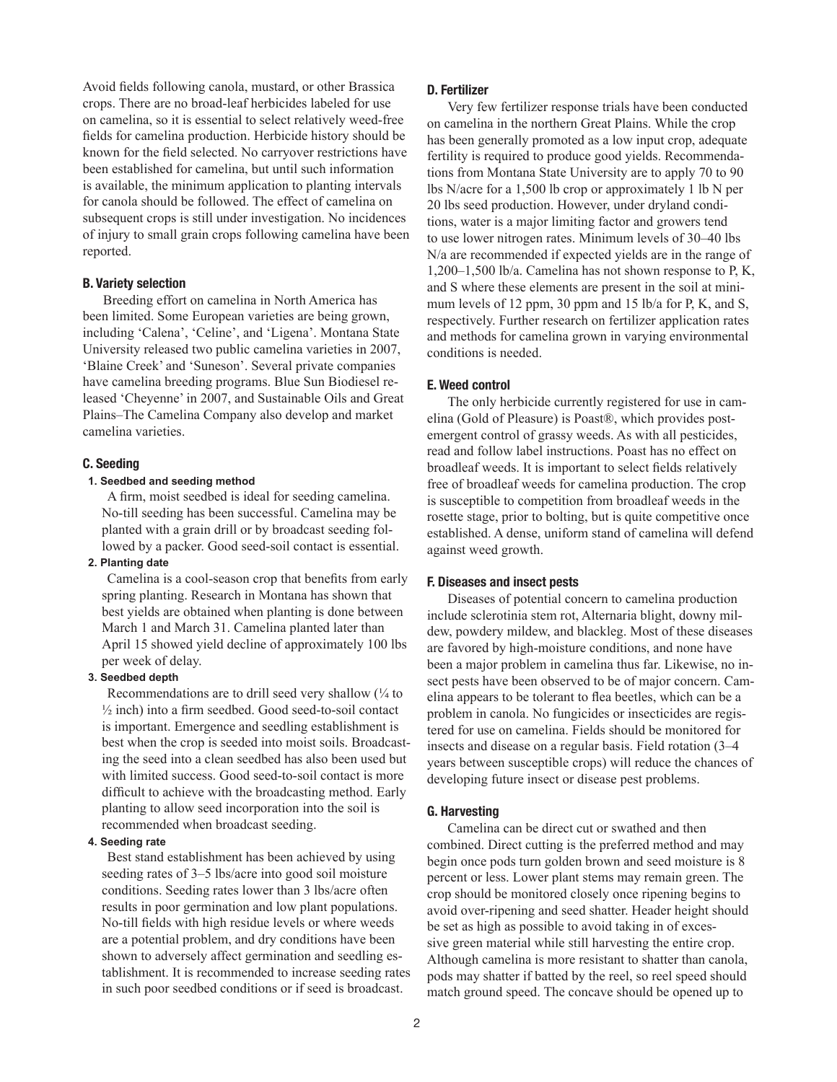Avoid fields following canola, mustard, or other Brassica crops. There are no broad-leaf herbicides labeled for use on camelina, so it is essential to select relatively weed-free fields for camelina production. Herbicide history should be known for the field selected. No carryover restrictions have been established for camelina, but until such information is available, the minimum application to planting intervals for canola should be followed. The effect of camelina on subsequent crops is still under investigation. No incidences of injury to small grain crops following camelina have been reported.

#### **B. Variety selection**

Breeding effort on camelina in North America has been limited. Some European varieties are being grown, including 'Calena', 'Celine', and 'Ligena'. Montana State University released two public camelina varieties in 2007, 'Blaine Creek' and 'Suneson'. Several private companies have camelina breeding programs. Blue Sun Biodiesel released 'Cheyenne' in 2007, and Sustainable Oils and Great Plains–The Camelina Company also develop and market camelina varieties.

#### **C. Seeding**

# **1. Seedbed and seeding method**

A firm, moist seedbed is ideal for seeding camelina. No-till seeding has been successful. Camelina may be planted with a grain drill or by broadcast seeding followed by a packer. Good seed-soil contact is essential.

# **2. Planting date**

Camelina is a cool-season crop that benefits from early spring planting. Research in Montana has shown that best yields are obtained when planting is done between March 1 and March 31. Camelina planted later than April 15 showed yield decline of approximately 100 lbs per week of delay.

# **3. Seedbed depth**

Recommendations are to drill seed very shallow  $\frac{1}{4}$  to ½ inch) into a firm seedbed. Good seed-to-soil contact is important. Emergence and seedling establishment is best when the crop is seeded into moist soils. Broadcasting the seed into a clean seedbed has also been used but with limited success. Good seed-to-soil contact is more difficult to achieve with the broadcasting method. Early planting to allow seed incorporation into the soil is recommended when broadcast seeding.

#### **4. Seeding rate**

Best stand establishment has been achieved by using seeding rates of 3–5 lbs/acre into good soil moisture conditions. Seeding rates lower than 3 lbs/acre often results in poor germination and low plant populations. No-till fields with high residue levels or where weeds are a potential problem, and dry conditions have been shown to adversely affect germination and seedling establishment. It is recommended to increase seeding rates in such poor seedbed conditions or if seed is broadcast.

#### **D. Fertilizer**

Very few fertilizer response trials have been conducted on camelina in the northern Great Plains. While the crop has been generally promoted as a low input crop, adequate fertility is required to produce good yields. Recommendations from Montana State University are to apply 70 to 90 lbs N/acre for a 1,500 lb crop or approximately 1 lb N per 20 lbs seed production. However, under dryland conditions, water is a major limiting factor and growers tend to use lower nitrogen rates. Minimum levels of 30–40 lbs N/a are recommended if expected yields are in the range of 1,200–1,500 lb/a. Camelina has not shown response to P, K, and S where these elements are present in the soil at minimum levels of 12 ppm, 30 ppm and 15 lb/a for P, K, and S, respectively. Further research on fertilizer application rates and methods for camelina grown in varying environmental conditions is needed.

#### **E. Weed control**

The only herbicide currently registered for use in camelina (Gold of Pleasure) is Poast®, which provides postemergent control of grassy weeds. As with all pesticides, read and follow label instructions. Poast has no effect on broadleaf weeds. It is important to select fields relatively free of broadleaf weeds for camelina production. The crop is susceptible to competition from broadleaf weeds in the rosette stage, prior to bolting, but is quite competitive once established. A dense, uniform stand of camelina will defend against weed growth.

#### **F. Diseases and insect pests**

Diseases of potential concern to camelina production include sclerotinia stem rot, Alternaria blight, downy mildew, powdery mildew, and blackleg. Most of these diseases are favored by high-moisture conditions, and none have been a major problem in camelina thus far. Likewise, no insect pests have been observed to be of major concern. Camelina appears to be tolerant to flea beetles, which can be a problem in canola. No fungicides or insecticides are registered for use on camelina. Fields should be monitored for insects and disease on a regular basis. Field rotation (3–4 years between susceptible crops) will reduce the chances of developing future insect or disease pest problems.

# **G. Harvesting**

Camelina can be direct cut or swathed and then combined. Direct cutting is the preferred method and may begin once pods turn golden brown and seed moisture is 8 percent or less. Lower plant stems may remain green. The crop should be monitored closely once ripening begins to avoid over-ripening and seed shatter. Header height should be set as high as possible to avoid taking in of excessive green material while still harvesting the entire crop. Although camelina is more resistant to shatter than canola, pods may shatter if batted by the reel, so reel speed should match ground speed. The concave should be opened up to